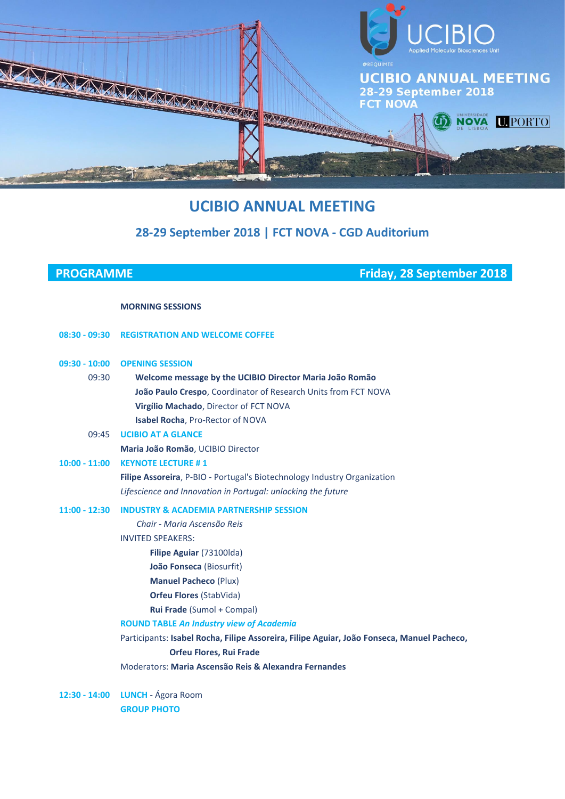

# **UCIBIO ANNUAL MEETING**

# **28-29 September 2018 | FCT NOVA - CGD Auditorium**

**PROGRAMME Friday, 28 September 2018**

### **MORNING SESSIONS**

|                 | 08:30 - 09:30 REGISTRATION AND WELCOME COFFEE                                              |
|-----------------|--------------------------------------------------------------------------------------------|
|                 | 09:30 - 10:00 OPENING SESSION                                                              |
| 09:30           | Welcome message by the UCIBIO Director Maria João Romão                                    |
|                 | João Paulo Crespo, Coordinator of Research Units from FCT NOVA                             |
|                 | Virgílio Machado, Director of FCT NOVA                                                     |
|                 | Isabel Rocha, Pro-Rector of NOVA                                                           |
| 09:45           | <b>UCIBIO AT A GLANCE</b>                                                                  |
|                 | Maria João Romão, UCIBIO Director                                                          |
| $10:00 - 11:00$ | <b>KEYNOTE LECTURE #1</b>                                                                  |
|                 | Filipe Assoreira, P-BIO - Portugal's Biotechnology Industry Organization                   |
|                 | Lifescience and Innovation in Portugal: unlocking the future                               |
|                 | 11:00 - 12:30 INDUSTRY & ACADEMIA PARTNERSHIP SESSION                                      |
|                 | Chair - Maria Ascensão Reis                                                                |
|                 | <b>INVITED SPEAKERS:</b>                                                                   |
|                 | Filipe Aguiar (73100lda)                                                                   |
|                 | João Fonseca (Biosurfit)                                                                   |
|                 | <b>Manuel Pacheco (Plux)</b>                                                               |
|                 | <b>Orfeu Flores (StabVida)</b>                                                             |
|                 | Rui Frade (Sumol + Compal)                                                                 |
|                 | <b>ROUND TABLE An Industry view of Academia</b>                                            |
|                 | Participants: Isabel Rocha, Filipe Assoreira, Filipe Aguiar, João Fonseca, Manuel Pacheco, |
|                 | <b>Orfeu Flores, Rui Frade</b>                                                             |
|                 | Moderators: Maria Ascensão Reis & Alexandra Fernandes                                      |
|                 |                                                                                            |

**12:30 - 14:00 LUNCH** - Ágora Room **GROUP PHOTO**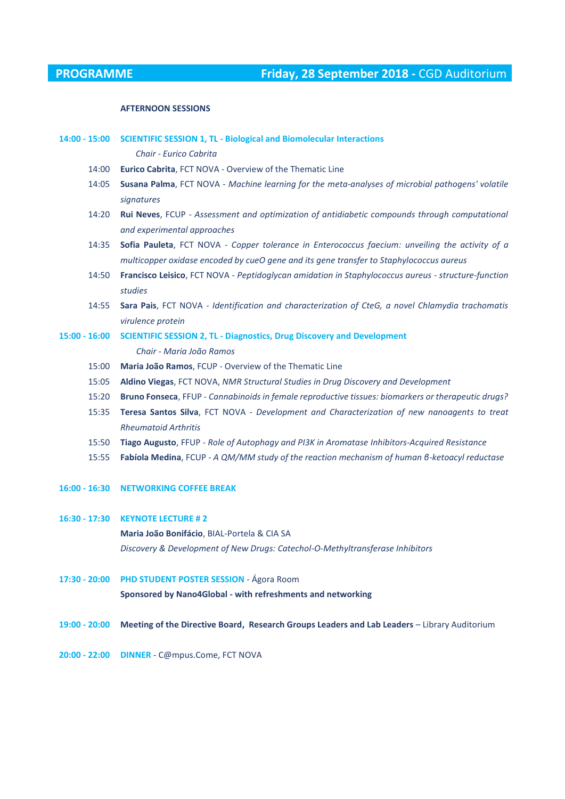#### **AFTERNOON SESSIONS**

| $14:00 - 15:00$ | <b>SCIENTIFIC SESSION 1, TL - Biological and Biomolecular Interactions</b>                          |
|-----------------|-----------------------------------------------------------------------------------------------------|
|                 | Chair - Eurico Cabrita                                                                              |
| 14:00           | Eurico Cabrita, FCT NOVA - Overview of the Thematic Line                                            |
| 14:05           | Susana Palma, FCT NOVA - Machine learning for the meta-analyses of microbial pathogens' volatile    |
|                 | signatures                                                                                          |
| 14:20           | Rui Neves, FCUP - Assessment and optimization of antidiabetic compounds through computational       |
|                 | and experimental approaches                                                                         |
| 14:35           | Sofia Pauleta, FCT NOVA - Copper tolerance in Enterococcus faecium: unveiling the activity of a     |
|                 | multicopper oxidase encoded by cueO gene and its gene transfer to Staphylococcus aureus             |
| 14:50           | Francisco Leisico, FCT NOVA - Peptidoglycan amidation in Staphylococcus aureus - structure-function |
|                 | studies                                                                                             |
| 14:55           | Sara Pais, FCT NOVA - Identification and characterization of CteG, a novel Chlamydia trachomatis    |
|                 | virulence protein                                                                                   |
| $15:00 - 16:00$ | <b>SCIENTIFIC SESSION 2, TL - Diagnostics, Drug Discovery and Development</b>                       |
|                 | Chair - Maria João Ramos                                                                            |
| 15:00           | Maria João Ramos, FCUP - Overview of the Thematic Line                                              |
| 15:05           | Aldino Viegas, FCT NOVA, NMR Structural Studies in Drug Discovery and Development                   |
| 15:20           | Bruno Fonseca, FFUP - Cannabinoids in female reproductive tissues: biomarkers or therapeutic drugs? |
| 15:35           | Teresa Santos Silva, FCT NOVA - Development and Characterization of new nanoagents to treat         |
|                 | <b>Rheumatoid Arthritis</b>                                                                         |
| 15:50           | Tiago Augusto, FFUP - Role of Autophagy and PI3K in Aromatase Inhibitors-Acquired Resistance        |
| 15:55           | Fabíola Medina, FCUP - A QM/MM study of the reaction mechanism of human 6-ketoacyl reductase        |
|                 |                                                                                                     |
| $16:00 - 16:30$ | <b>NETWORKING COFFEE BREAK</b>                                                                      |
|                 |                                                                                                     |
| $16:30 - 17:30$ | <b>KEYNOTE LECTURE #2</b>                                                                           |
|                 | Maria João Bonifácio, BIAL-Portela & CIA SA                                                         |
|                 | Discovery & Development of New Drugs: Catechol-O-Methyltransferase Inhibitors                       |
|                 |                                                                                                     |
| 17:30 - 20:00   | PHD STUDENT POSTER SESSION - Ágora Room                                                             |
|                 | Sponsored by Nano4Global - with refreshments and networking                                         |
|                 |                                                                                                     |
| 19:00 - 20:00   | Meeting of the Directive Board, Research Groups Leaders and Lab Leaders - Library Auditorium        |
|                 |                                                                                                     |
| $20:00 - 22:00$ | <b>DINNER</b> - C@mpus.Come, FCT NOVA                                                               |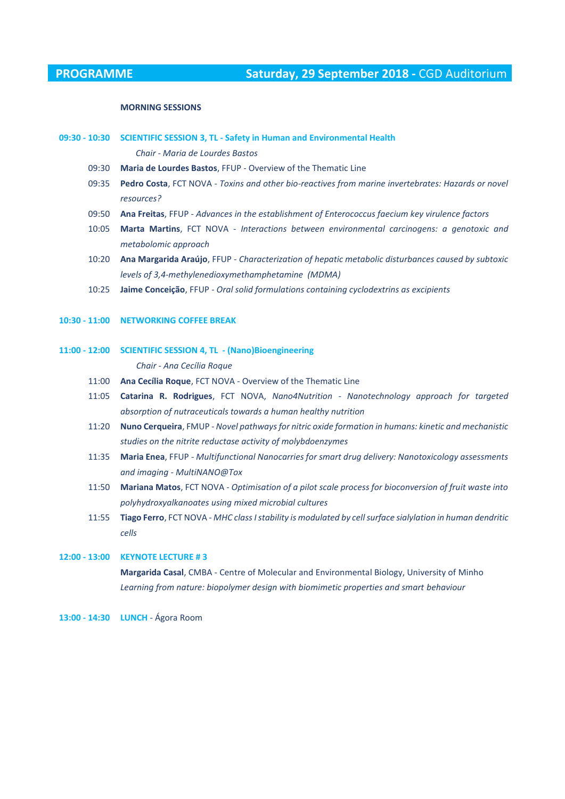#### **MORNING SESSIONS**

### **09:30 - 10:30 SCIENTIFIC SESSION 3, TL - Safety in Human and Environmental Health** *Chair - Maria de Lourdes Bastos*

09:30 **Maria de Lourdes Bastos**, FFUP - Overview of the Thematic Line

- 09:35 **Pedro Costa**, FCT NOVA - *Toxins and other bio-reactives from marine invertebrates: Hazards or novel resources?*
- 09:50 **Ana Freitas**, FFUP - *Advances in the establishment of Enterococcus faecium key virulence factors*
- 10:05 **Marta Martins**, FCT NOVA - *Interactions between environmental carcinogens: a genotoxic and metabolomic approach*
- 10:20 **Ana Margarida Araújo**, FFUP *Characterization of hepatic metabolic disturbances caused by subtoxic levels of 3,4-methylenedioxymethamphetamine (MDMA)*
- 10:25 **Jaime Conceição**, FFUP *Oral solid formulations containing cyclodextrins as excipients*

#### **10:30 - 11:00 NETWORKING COFFEE BREAK**

**11:00 - 12:00 SCIENTIFIC SESSION 4, TL - (Nano)Bioengineering**

*Chair - Ana Cecília Roque*

- 11:00 **Ana Cecília Roque**, FCT NOVA Overview of the Thematic Line
- 11:05 **Catarina R. Rodrigues**, FCT NOVA, *Nano4Nutrition - Nanotechnology approach for targeted absorption of nutraceuticals towards a human healthy nutrition*
- 11:20 **Nuno Cerqueira**, FMUP - *Novel pathways for nitric oxide formation in humans: kinetic and mechanistic studies on the nitrite reductase activity of molybdoenzymes*
- 11:35 **Maria Enea**, FFUP - *Multifunctional Nanocarries for smart drug delivery: Nanotoxicology assessments and imaging - MultiNANO@Tox*
- 11:50 **Mariana Matos**, FCT NOVA *Optimisation of a pilot scale process for bioconversion of fruit waste into polyhydroxyalkanoates using mixed microbial cultures*
- 11:55 **Tiago Ferro**, FCT NOVA *MHC class I stability is modulated by cell surface sialylation in human dendritic cells*

# **12:00 - 13:00 KEYNOTE LECTURE # 3 Margarida Casal**, CMBA - Centre of Molecular and Environmental Biology, University of Minho *Learning from nature: biopolymer design with biomimetic properties and smart behaviour*

**13:00 - 14:30 LUNCH** - Ágora Room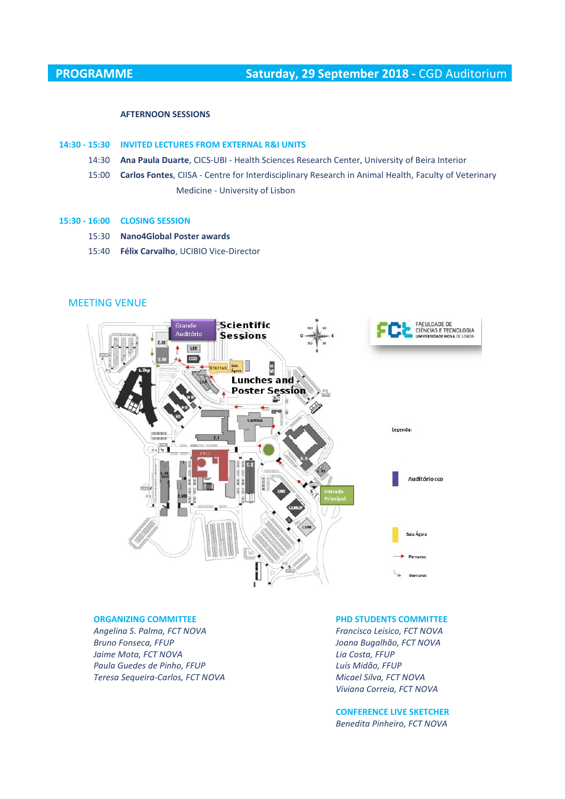#### **AFTERNOON SESSIONS**

#### **14:30 - 15:30 INVITED LECTURES FROM EXTERNAL R&I UNITS**

- 14:30 **Ana Paula Duarte**, CICS-UBI - Health Sciences Research Center, University of Beira Interior
- 15:00 **Carlos Fontes**, CIISA Centre for Interdisciplinary Research in Animal Health, Faculty of Veterinary Medicine - University of Lisbon

#### **15:30 - 16:00 CLOSING SESSION**

- 15:30 **Nano4Global Poster awards**
- 15:40 **Félix Carvalho**, UCIBIO Vice-Director

## MEETING VENUE



#### **ORGANIZING COMMITTEE PHD STUDENTS COMMITTEE**

*Angelina S. Palma, FCT NOVA Francisco Leisico, FCT NOVA Bruno Fonseca, FFUP Joana Bugalhão, FCT NOVA Jaime Mota, FCT NOVA Lia Costa, FFUP Paula Guedes de Pinho, FFUP Luís Midão, FFUP Teresa Sequeira-Carlos, FCT NOVA Micael Silva, FCT NOVA*

*Viviana Correia, FCT NOVA*

**CONFERENCE LIVE SKETCHER** *Benedita Pinheiro, FCT NOVA*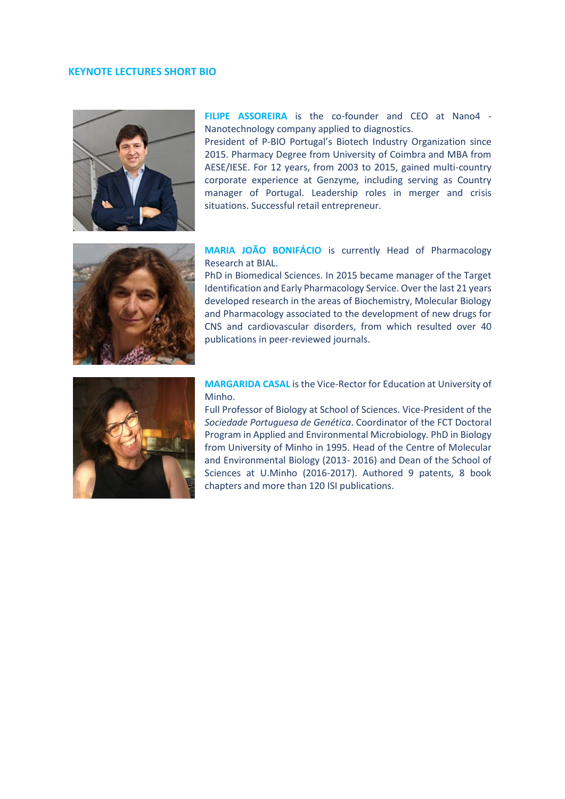### **KEYNOTE LECTURES SHORT BIO**



**FILIPE ASSOREIRA** is the co-founder and CEO at Nano4 - Nanotechnology company applied to diagnostics.

President of P-BIO Portugal's Biotech Industry Organization since 2015. Pharmacy Degree from University of Coimbra and MBA from AESE/IESE. For 12 years, from 2003 to 2015, gained multi-country corporate experience at Genzyme, including serving as Country manager of Portugal. Leadership roles in merger and crisis situations. Successful retail entrepreneur.



**MARIA JOÃO BONIFÁCIO** is currently Head of Pharmacology Research at BIAL.

PhD in Biomedical Sciences. In 2015 became manager of the Target Identification and Early Pharmacology Service. Over the last 21 years developed research in the areas of Biochemistry, Molecular Biology and Pharmacology associated to the development of new drugs for CNS and cardiovascular disorders, from which resulted over 40 publications in peer-reviewed journals.



### **MARGARIDA CASAL** is the Vice-Rector for Education at University of Minho.

Full Professor of Biology at School of Sciences. Vice-President of the *Sociedade Portuguesa de Genética*. Coordinator of the FCT Doctoral Program in Applied and Environmental Microbiology. PhD in Biology from University of Minho in 1995. Head of the Centre of Molecular and Environmental Biology (2013- 2016) and Dean of the School of Sciences at U.Minho (2016-2017). Authored 9 patents, 8 book chapters and more than 120 ISI publications.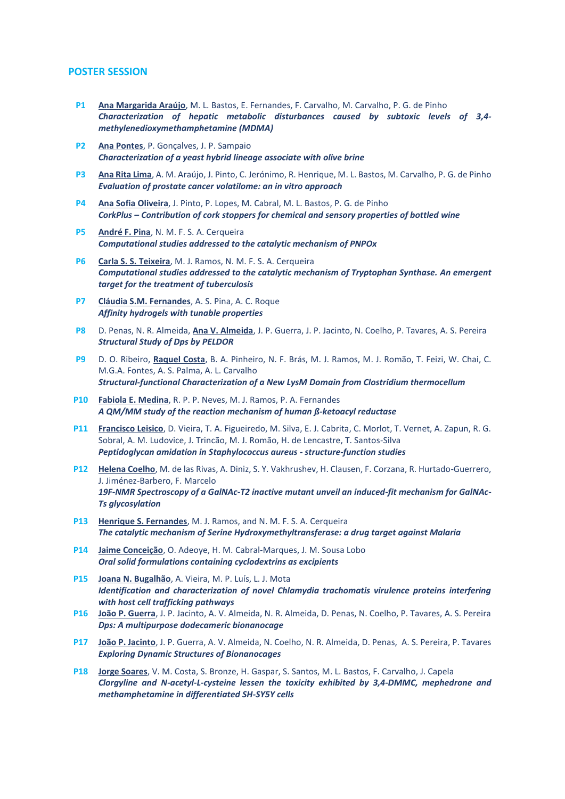#### **POSTER SESSION**

- **P1 Ana Margarida Araújo**, M. L. Bastos, E. Fernandes, F. Carvalho, M. Carvalho, P. G. de Pinho *Characterization of hepatic metabolic disturbances caused by subtoxic levels of 3,4 methylenedioxymethamphetamine (MDMA)*
- **P2 Ana Pontes**, P. Gonçalves, J. P. Sampaio *Characterization of a yeast hybrid lineage associate with olive brine*
- **P3 Ana Rita Lima**, A. M. Araújo, J. Pinto, C. Jerónimo, R. Henrique, M. L. Bastos, M. Carvalho, P. G. de Pinho *Evaluation of prostate cancer volatilome: an in vitro approach*
- **P4 Ana Sofia Oliveira**, J. Pinto, P. Lopes, M. Cabral, M. L. Bastos, P. G. de Pinho *CorkPlus – Contribution of cork stoppers for chemical and sensory properties of bottled wine*
- **P5 André F. Pina**, N. M. F. S. A. Cerqueira *Computational studies addressed to the catalytic mechanism of PNPOx*
- **P6 Carla S. S. Teixeira**, M. J. Ramos, N. M. F. S. A. Cerqueira *Computational studies addressed to the catalytic mechanism of Tryptophan Synthase. An emergent target for the treatment of tuberculosis*
- **P7 Cláudia S.M. Fernandes**, A. S. Pina, A. C. Roque *Affinity hydrogels with tunable properties*
- **P8** D. Penas, N. R. Almeida, **Ana V. Almeida**, J. P. Guerra, J. P. Jacinto, N. Coelho, P. Tavares, A. S. Pereira *Structural Study of Dps by PELDOR*
- **P9** D. O. Ribeiro, **Raquel Costa**, B. A. Pinheiro, N. F. Brás, M. J. Ramos, M. J. Romão, T. Feizi, W. Chai, C. M.G.A. Fontes, A. S. Palma, A. L. Carvalho *Structural-functional Characterization of a New LysM Domain from Clostridium thermocellum*
- **P10 Fabiola E. Medina**, R. P. P. Neves, M. J. Ramos, P. A. Fernandes *A QM/MM study of the reaction mechanism of human ß-ketoacyl reductase*
- **P11 Francisco Leisico**, D. Vieira, T. A. Figueiredo, M. Silva, E. J. Cabrita, C. Morlot, T. Vernet, A. Zapun, R. G. Sobral, A. M. Ludovice, J. Trincão, M. J. Romão, H. de Lencastre, T. Santos-Silva *Peptidoglycan amidation in Staphylococcus aureus - structure-function studies*
- **P12 Helena Coelho**, M. de las Rivas, A. Diniz, S. Y. Vakhrushev, H. Clausen, F. Corzana, R. Hurtado-Guerrero, J. Jiménez-Barbero, F. Marcelo *19F-NMR Spectroscopy of a GalNAc-T2 inactive mutant unveil an induced-fit mechanism for GalNAc-Ts glycosylation*
- **P13 Henrique S. Fernandes**, M. J. Ramos, and N. M. F. S. A. Cerqueira *The catalytic mechanism of Serine Hydroxymethyltransferase: a drug target against Malaria*
- **P14 Jaime Conceição**, O. Adeoye, H. M. Cabral-Marques, J. M. Sousa Lobo *Oral solid formulations containing cyclodextrins as excipients*
- **P15 Joana N. Bugalhão**, A. Vieira, M. P. Luís, L. J. Mota *Identification and characterization of novel Chlamydia trachomatis virulence proteins interfering with host cell trafficking pathways*
- **P16 João P. Guerra**, J. P. Jacinto, A. V. Almeida, N. R. Almeida, D. Penas, N. Coelho, P. Tavares, A. S. Pereira *Dps: A multipurpose dodecameric bionanocage*
- **P17 João P. Jacinto**, J. P. Guerra, A. V. Almeida, N. Coelho, N. R. Almeida, D. Penas, A. S. Pereira, P. Tavares *Exploring Dynamic Structures of Bionanocages*
- **P18 Jorge Soares**, V. M. Costa, S. Bronze, H. Gaspar, S. Santos, M. L. Bastos, F. Carvalho, J. Capela *Clorgyline and N-acetyl-L-cysteine lessen the toxicity exhibited by 3,4-DMMC, mephedrone and methamphetamine in differentiated SH-SY5Y cells*